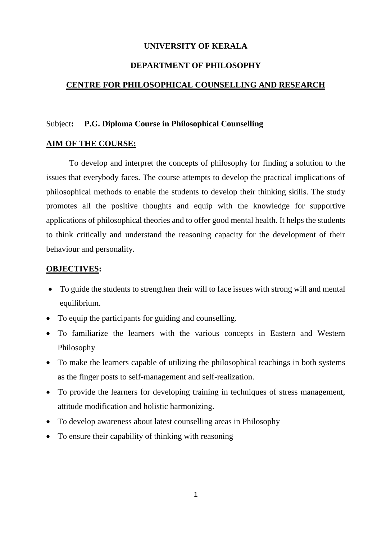### **UNIVERSITY OF KERALA**

#### **DEPARTMENT OF PHILOSOPHY**

#### **CENTRE FOR PHILOSOPHICAL COUNSELLING AND RESEARCH**

#### Subject**: P.G. Diploma Course in Philosophical Counselling**

#### **AIM OF THE COURSE:**

To develop and interpret the concepts of philosophy for finding a solution to the issues that everybody faces. The course attempts to develop the practical implications of philosophical methods to enable the students to develop their thinking skills. The study promotes all the positive thoughts and equip with the knowledge for supportive applications of philosophical theories and to offer good mental health. It helps the students to think critically and understand the reasoning capacity for the development of their behaviour and personality.

#### **OBJECTIVES:**

- To guide the students to strengthen their will to face issues with strong will and mental equilibrium.
- To equip the participants for guiding and counselling.
- To familiarize the learners with the various concepts in Eastern and Western Philosophy
- To make the learners capable of utilizing the philosophical teachings in both systems as the finger posts to self-management and self-realization.
- To provide the learners for developing training in techniques of stress management, attitude modification and holistic harmonizing.
- To develop awareness about latest counselling areas in Philosophy
- To ensure their capability of thinking with reasoning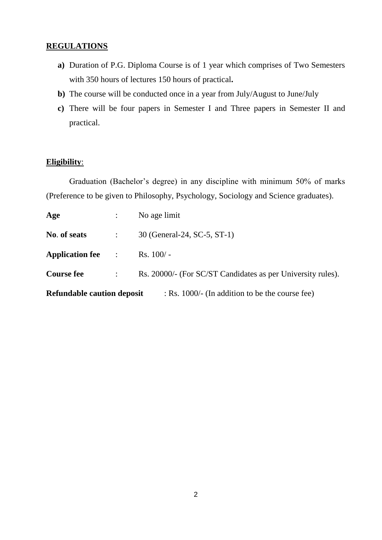## **REGULATIONS**

- **a)** Duration of P.G. Diploma Course is of 1 year which comprises of Two Semesters with 350 hours of lectures 150 hours of practical**.**
- **b)** The course will be conducted once in a year from July/August to June/July
- **c)** There will be four papers in Semester I and Three papers in Semester II and practical.

### **Eligibility**:

Graduation (Bachelor's degree) in any discipline with minimum 50% of marks (Preference to be given to Philosophy, Psychology, Sociology and Science graduates).

| <b>Refundable caution deposit</b><br>: Rs. 1000/- (In addition to be the course fee) |                           |                                                             |  |  |  |  |  |
|--------------------------------------------------------------------------------------|---------------------------|-------------------------------------------------------------|--|--|--|--|--|
| <b>Course fee</b>                                                                    | $\mathbb{R}^{\mathbb{Z}}$ | Rs. 20000/- (For SC/ST Candidates as per University rules). |  |  |  |  |  |
| <b>Application fee</b> :                                                             |                           | $Rs. 100/-$                                                 |  |  |  |  |  |
| No. of seats                                                                         | $\mathbb{Z}^{\mathbb{Z}}$ | 30 (General-24, SC-5, ST-1)                                 |  |  |  |  |  |
| Age                                                                                  |                           | No age limit                                                |  |  |  |  |  |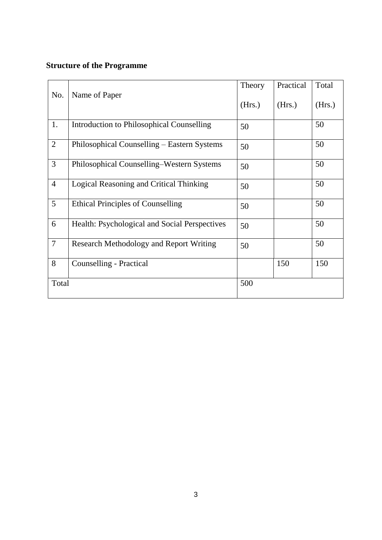# **Structure of the Programme**

| No.            | Name of Paper                                 | Theory | Practical | Total  |
|----------------|-----------------------------------------------|--------|-----------|--------|
|                |                                               |        | (Hrs.)    | (Hrs.) |
| 1.             | Introduction to Philosophical Counselling     | 50     |           | 50     |
| $\overline{2}$ | Philosophical Counselling – Eastern Systems   | 50     |           | 50     |
| 3              | Philosophical Counselling-Western Systems     | 50     |           | 50     |
| $\overline{4}$ | Logical Reasoning and Critical Thinking       | 50     |           | 50     |
| 5              | <b>Ethical Principles of Counselling</b>      | 50     |           | 50     |
| 6              | Health: Psychological and Social Perspectives | 50     |           | 50     |
| $\overline{7}$ | Research Methodology and Report Writing       | 50     |           | 50     |
| 8              | Counselling - Practical                       |        | 150       | 150    |
| Total          |                                               | 500    |           |        |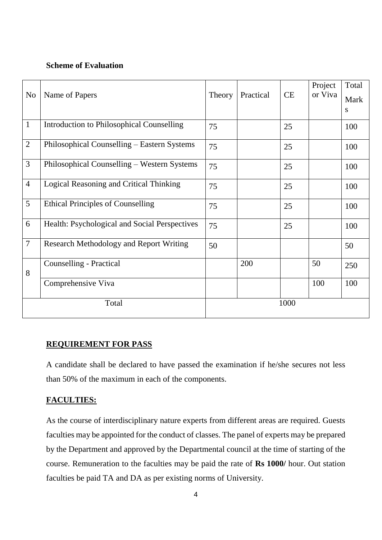## **Scheme of Evaluation**

|                |                                                | Theory | Practical | <b>CE</b> | Project<br>or Viva | Total     |
|----------------|------------------------------------------------|--------|-----------|-----------|--------------------|-----------|
| N <sub>o</sub> | Name of Papers                                 |        |           |           |                    | Mark      |
|                |                                                |        |           |           |                    | ${\bf S}$ |
| $\mathbf{1}$   | Introduction to Philosophical Counselling      | 75     |           | 25        |                    | 100       |
| $\overline{2}$ | Philosophical Counselling – Eastern Systems    |        |           | 25        |                    | 100       |
| $\overline{3}$ | Philosophical Counselling – Western Systems    | 75     |           | 25        |                    | 100       |
| $\overline{4}$ | Logical Reasoning and Critical Thinking        | 75     |           | 25        |                    | 100       |
| 5              | <b>Ethical Principles of Counselling</b>       | 75     |           | 25        |                    | 100       |
| 6              | Health: Psychological and Social Perspectives  | 75     |           | 25        |                    | 100       |
| $\overline{7}$ | <b>Research Methodology and Report Writing</b> | 50     |           |           |                    | 50        |
| 8              | Counselling - Practical                        |        | 200       |           | 50                 | 250       |
|                | Comprehensive Viva                             |        |           |           | 100                | 100       |
| Total          |                                                | 1000   |           |           |                    |           |

## **REQUIREMENT FOR PASS**

A candidate shall be declared to have passed the examination if he/she secures not less than 50% of the maximum in each of the components.

## **FACULTIES:**

As the course of interdisciplinary nature experts from different areas are required. Guests faculties may be appointed for the conduct of classes. The panel of experts may be prepared by the Department and approved by the Departmental council at the time of starting of the course. Remuneration to the faculties may be paid the rate of **Rs 1000/** hour. Out station faculties be paid TA and DA as per existing norms of University.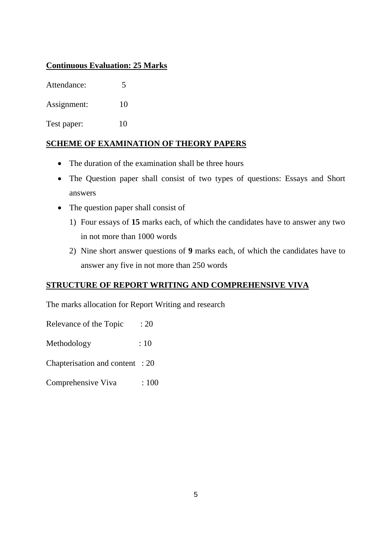## **Continuous Evaluation: 25 Marks**

Attendance: 5

Assignment: 10

Test paper: 10

## **SCHEME OF EXAMINATION OF THEORY PAPERS**

- The duration of the examination shall be three hours
- The Question paper shall consist of two types of questions: Essays and Short answers
- The question paper shall consist of
	- 1) Four essays of **15** marks each, of which the candidates have to answer any two in not more than 1000 words
	- 2) Nine short answer questions of **9** marks each, of which the candidates have to answer any five in not more than 250 words

# **STRUCTURE OF REPORT WRITING AND COMPREHENSIVE VIVA**

The marks allocation for Report Writing and research

Relevance of the Topic : 20

Methodology : 10

Chapterisation and content : 20

Comprehensive Viva : 100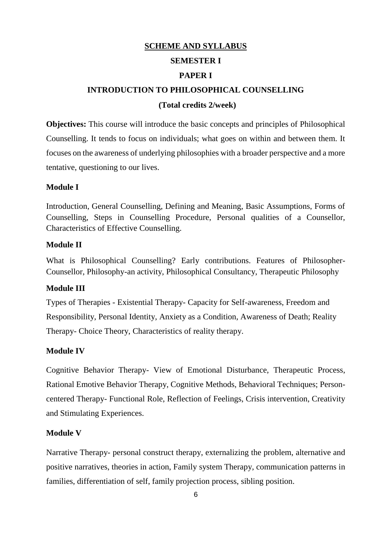## **SCHEME AND SYLLABUS**

## **SEMESTER I**

## **PAPER I**

## **INTRODUCTION TO PHILOSOPHICAL COUNSELLING**

### **(Total credits 2/week)**

**Objectives:** This course will introduce the basic concepts and principles of Philosophical Counselling. It tends to focus on individuals; what goes on within and between them. It focuses on the awareness of underlying philosophies with a broader perspective and a more tentative, questioning to our lives.

## **Module I**

Introduction, General Counselling, Defining and Meaning, Basic Assumptions, Forms of Counselling, Steps in Counselling Procedure, Personal qualities of a Counsellor, Characteristics of Effective Counselling.

### **Module II**

What is Philosophical Counselling? Early contributions. Features of Philosopher-Counsellor, Philosophy-an activity, Philosophical Consultancy, Therapeutic Philosophy

## **Module III**

Types of Therapies - Existential Therapy- Capacity for Self-awareness, Freedom and Responsibility, Personal Identity, Anxiety as a Condition, Awareness of Death; Reality Therapy- Choice Theory, Characteristics of reality therapy.

## **Module IV**

Cognitive Behavior Therapy- View of Emotional Disturbance, Therapeutic Process, Rational Emotive Behavior Therapy, Cognitive Methods, Behavioral Techniques; Personcentered Therapy- Functional Role, Reflection of Feelings, Crisis intervention, Creativity and Stimulating Experiences.

## **Module V**

Narrative Therapy- personal construct therapy, externalizing the problem, alternative and positive narratives, theories in action, Family system Therapy, communication patterns in families, differentiation of self, family projection process, sibling position.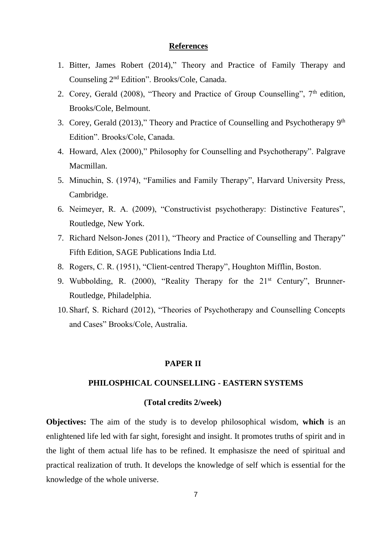#### **References**

- 1. Bitter, James Robert (2014)," Theory and Practice of Family Therapy and Counseling 2nd Edition". Brooks/Cole, Canada.
- 2. Corey, Gerald (2008), "Theory and Practice of Group Counselling",  $7<sup>th</sup>$  edition, Brooks/Cole, Belmount.
- 3. Corey, Gerald (2013)," Theory and Practice of Counselling and Psychotherapy 9th Edition". Brooks/Cole, Canada.
- 4. Howard, Alex (2000)," Philosophy for Counselling and Psychotherapy". Palgrave Macmillan.
- 5. Minuchin, S. (1974), "Families and Family Therapy", Harvard University Press, Cambridge.
- 6. Neimeyer, R. A. (2009), "Constructivist psychotherapy: Distinctive Features", Routledge, New York.
- 7. Richard Nelson-Jones (2011), "Theory and Practice of Counselling and Therapy" Fifth Edition, SAGE Publications India Ltd.
- 8. Rogers, C. R. (1951), "Client-centred Therapy", Houghton Mifflin, Boston.
- 9. Wubbolding, R. (2000), "Reality Therapy for the  $21<sup>st</sup>$  Century", Brunner-Routledge, Philadelphia.
- 10.Sharf, S. Richard (2012), "Theories of Psychotherapy and Counselling Concepts and Cases" Brooks/Cole, Australia.

#### **PAPER II**

## **PHILOSPHICAL COUNSELLING - EASTERN SYSTEMS**

#### **(Total credits 2/week)**

**Objectives:** The aim of the study is to develop philosophical wisdom, **which** is an enlightened life led with far sight, foresight and insight. It promotes truths of spirit and in the light of them actual life has to be refined. It emphasisze the need of spiritual and practical realization of truth. It develops the knowledge of self which is essential for the knowledge of the whole universe.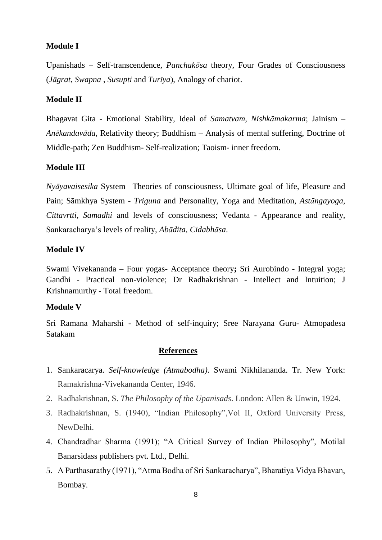## **Module I**

Upanishads – Self-transcendence, *Panchakōsa* theory, Four Grades of Consciousness (*Jāgrat*, *Swapna* , *Susupti* and *Turīya*), Analogy of chariot.

#### **Module II**

Bhagavat Gita - Emotional Stability, Ideal of *Samatvam*, *Nishkāmakarma*; Jainism – *Anēkandavāda*, Relativity theory; Buddhism – Analysis of mental suffering, Doctrine of Middle-path; Zen Buddhism- Self-realization; Taoism- inner freedom.

## **Module III**

*Nyāyavaisesika* System –Theories of consciousness, Ultimate goal of life, Pleasure and Pain; Sāmkhya System - *Triguna* and Personality, Yoga and Meditation, *Astāngayoga*, *Cittavrtti*, *Samadhi* and levels of consciousness; Vedanta - Appearance and reality, Sankaracharya's levels of reality, *Abādita*, *Cidabhāsa*.

## **Module IV**

Swami Vivekananda – Four yogas- Acceptance theory**;** Sri Aurobindo - Integral yoga; Gandhi - Practical non-violence; Dr Radhakrishnan - Intellect and Intuition; J Krishnamurthy - Total freedom.

## **Module V**

Sri Ramana Maharshi - Method of self-inquiry; Sree Narayana Guru- Atmopadesa Satakam

- 1. Sankaracarya. *Self-knowledge (Atmabodha)*. Swami Nikhilananda. Tr. New York: Ramakrishna-Vivekananda Center, 1946.
- 2. Radhakrishnan, S. *The Philosophy of the Upanisads*. London: Allen & Unwin, 1924.
- 3. Radhakrishnan, S. (1940), "Indian Philosophy",Vol II, Oxford University Press, NewDelhi.
- 4. Chandradhar Sharma (1991); "A Critical Survey of Indian Philosophy", Motilal Banarsidass publishers pvt. Ltd., Delhi.
- 5. A Parthasarathy (1971), "Atma Bodha of Sri Sankaracharya", Bharatiya Vidya Bhavan, Bombay.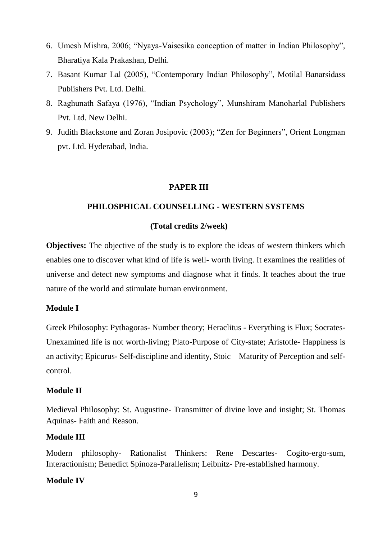- 6. Umesh Mishra, 2006; "Nyaya-Vaisesika conception of matter in Indian Philosophy", Bharatiya Kala Prakashan, Delhi.
- 7. Basant Kumar Lal (2005), "Contemporary Indian Philosophy", Motilal Banarsidass Publishers Pvt. Ltd. Delhi.
- 8. Raghunath Safaya (1976), "Indian Psychology", Munshiram Manoharlal Publishers Pvt. Ltd. New Delhi.
- 9. Judith Blackstone and Zoran Josipovic (2003); "Zen for Beginners", Orient Longman pvt. Ltd. Hyderabad, India.

### **PAPER III**

### **PHILOSPHICAL COUNSELLING - WESTERN SYSTEMS**

## **(Total credits 2/week)**

**Objectives:** The objective of the study is to explore the ideas of western thinkers which enables one to discover what kind of life is well- worth living. It examines the realities of universe and detect new symptoms and diagnose what it finds. It teaches about the true nature of the world and stimulate human environment.

#### **Module I**

Greek Philosophy: Pythagoras- Number theory; Heraclitus - Everything is Flux; Socrates-Unexamined life is not worth-living; Plato-Purpose of City-state; Aristotle- Happiness is an activity; Epicurus- Self-discipline and identity, Stoic – Maturity of Perception and selfcontrol.

## **Module II**

Medieval Philosophy: St. Augustine- Transmitter of divine love and insight; St. Thomas Aquinas- Faith and Reason.

### **Module III**

Modern philosophy- Rationalist Thinkers: Rene Descartes- Cogito-ergo-sum, Interactionism; Benedict Spinoza-Parallelism; Leibnitz- Pre-established harmony.

#### **Module IV**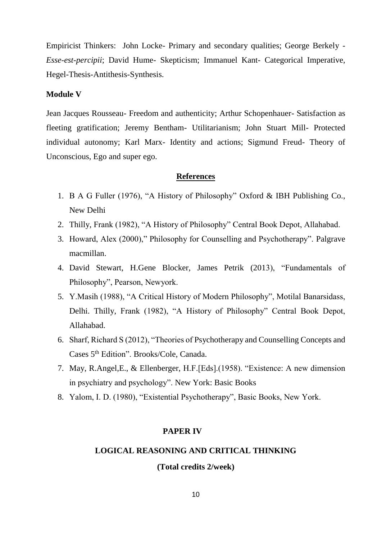Empiricist Thinkers: John Locke- Primary and secondary qualities; George Berkely - *Esse-est-percipii*; David Hume- Skepticism; Immanuel Kant- Categorical Imperative, Hegel-Thesis-Antithesis-Synthesis.

#### **Module V**

Jean Jacques Rousseau- Freedom and authenticity; Arthur Schopenhauer- Satisfaction as fleeting gratification; Jeremy Bentham- Utilitarianism; John Stuart Mill- Protected individual autonomy; Karl Marx- Identity and actions; Sigmund Freud- Theory of Unconscious, Ego and super ego.

#### **References**

- 1. B A G Fuller (1976), "A History of Philosophy" Oxford & IBH Publishing Co., New Delhi
- 2. Thilly, Frank (1982), "A History of Philosophy" Central Book Depot, Allahabad.
- 3. Howard, Alex (2000)," Philosophy for Counselling and Psychotherapy". Palgrave macmillan.
- 4. David Stewart, H.Gene Blocker, James Petrik (2013), "Fundamentals of Philosophy", Pearson, Newyork.
- 5. Y.Masih (1988), "A Critical History of Modern Philosophy", Motilal Banarsidass, Delhi. Thilly, Frank (1982), "A History of Philosophy" Central Book Depot, Allahabad.
- 6. Sharf, Richard S (2012), "Theories of Psychotherapy and Counselling Concepts and Cases 5th Edition". Brooks/Cole, Canada.
- 7. May, R.Angel,E., & Ellenberger, H.F.[Eds].(1958). "Existence: A new dimension in psychiatry and psychology". New York: Basic Books
- 8. Yalom, I. D. (1980), "Existential Psychotherapy", Basic Books, New York.

### **PAPER IV**

### **LOGICAL REASONING AND CRITICAL THINKING**

## **(Total credits 2/week)**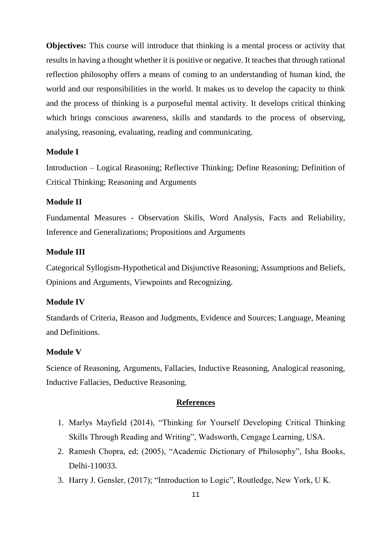**Objectives:** This course will introduce that thinking is a mental process or activity that results in having a thought whether it is positive or negative. It teaches that through rational reflection philosophy offers a means of coming to an understanding of human kind, the world and our responsibilities in the world. It makes us to develop the capacity to think and the process of thinking is a purposeful mental activity. It develops critical thinking which brings conscious awareness, skills and standards to the process of observing, analysing, reasoning, evaluating, reading and communicating.

## **Module I**

Introduction – Logical Reasoning; Reflective Thinking; Define Reasoning; Definition of Critical Thinking; Reasoning and Arguments

#### **Module II**

Fundamental Measures - Observation Skills, Word Analysis, Facts and Reliability, Inference and Generalizations; Propositions and Arguments

## **Module III**

Categorical Syllogism-Hypothetical and Disjunctive Reasoning; Assumptions and Beliefs, Opinions and Arguments, Viewpoints and Recognizing.

#### **Module IV**

Standards of Criteria, Reason and Judgments, Evidence and Sources; Language, Meaning and Definitions.

#### **Module V**

Science of Reasoning, Arguments, Fallacies, Inductive Reasoning, Analogical reasoning, Inductive Fallacies, Deductive Reasoning.

- 1. Marlys Mayfield (2014), "Thinking for Yourself Developing Critical Thinking Skills Through Reading and Writing", Wadsworth, Cengage Learning, USA.
- 2. Ramesh Chopra, ed; (2005), "Academic Dictionary of Philosophy", Isha Books, Delhi-110033.
- 3. Harry J. Gensler, (2017); "Introduction to Logic", Routledge, New York, U K.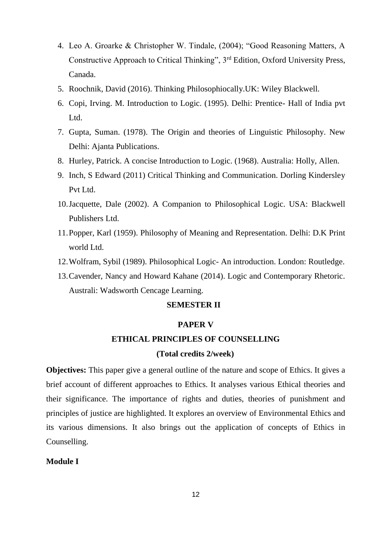- 4. Leo A. Groarke & Christopher W. Tindale, (2004); "Good Reasoning Matters, A Constructive Approach to Critical Thinking", 3rd Edition, Oxford University Press, Canada.
- 5. Roochnik, David (2016). Thinking Philosophiocally.UK: Wiley Blackwell.
- 6. Copi, Irving. M. Introduction to Logic. (1995). Delhi: Prentice- Hall of India pvt Ltd.
- 7. Gupta, Suman. (1978). The Origin and theories of Linguistic Philosophy. New Delhi: Ajanta Publications.
- 8. Hurley, Patrick. A concise Introduction to Logic. (1968). Australia: Holly, Allen.
- 9. Inch, S Edward (2011) Critical Thinking and Communication. Dorling Kindersley Pvt Ltd.
- 10.Jacquette, Dale (2002). A Companion to Philosophical Logic. USA: Blackwell Publishers Ltd.
- 11.Popper, Karl (1959). Philosophy of Meaning and Representation. Delhi: D.K Print world Ltd.
- 12.Wolfram, Sybil (1989). Philosophical Logic- An introduction. London: Routledge.
- 13.Cavender, Nancy and Howard Kahane (2014). Logic and Contemporary Rhetoric. Australi: Wadsworth Cencage Learning.

## **SEMESTER II**

#### **PAPER V**

#### **ETHICAL PRINCIPLES OF COUNSELLING**

#### **(Total credits 2/week)**

**Objectives:** This paper give a general outline of the nature and scope of Ethics. It gives a brief account of different approaches to Ethics. It analyses various Ethical theories and their significance. The importance of rights and duties, theories of punishment and principles of justice are highlighted. It explores an overview of Environmental Ethics and its various dimensions. It also brings out the application of concepts of Ethics in Counselling.

## **Module I**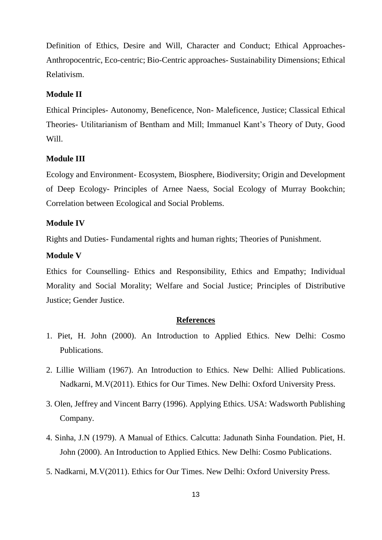Definition of Ethics, Desire and Will, Character and Conduct; Ethical Approaches-Anthropocentric, Eco-centric; Bio-Centric approaches- Sustainability Dimensions; Ethical Relativism.

#### **Module II**

Ethical Principles- Autonomy, Beneficence, Non- Maleficence, Justice; Classical Ethical Theories- Utilitarianism of Bentham and Mill; Immanuel Kant's Theory of Duty, Good Will.

## **Module III**

Ecology and Environment- Ecosystem, Biosphere, Biodiversity; Origin and Development of Deep Ecology- Principles of Arnee Naess, Social Ecology of Murray Bookchin; Correlation between Ecological and Social Problems.

## **Module IV**

Rights and Duties- Fundamental rights and human rights; Theories of Punishment.

#### **Module V**

Ethics for Counselling- Ethics and Responsibility, Ethics and Empathy; Individual Morality and Social Morality; Welfare and Social Justice; Principles of Distributive Justice; Gender Justice.

- 1. Piet, H. John (2000). An Introduction to Applied Ethics. New Delhi: Cosmo Publications.
- 2. Lillie William (1967). An Introduction to Ethics. New Delhi: Allied Publications. Nadkarni, M.V(2011). Ethics for Our Times. New Delhi: Oxford University Press.
- 3. Olen, Jeffrey and Vincent Barry (1996). Applying Ethics. USA: Wadsworth Publishing Company.
- 4. Sinha, J.N (1979). A Manual of Ethics. Calcutta: Jadunath Sinha Foundation. Piet, H. John (2000). An Introduction to Applied Ethics. New Delhi: Cosmo Publications.
- 5. Nadkarni, M.V(2011). Ethics for Our Times. New Delhi: Oxford University Press.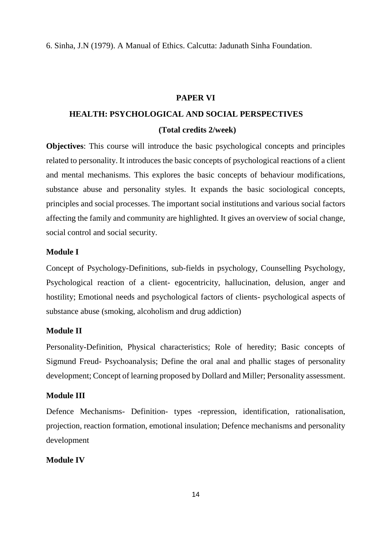6. Sinha, J.N (1979). A Manual of Ethics. Calcutta: Jadunath Sinha Foundation.

#### **PAPER VI**

# **HEALTH: PSYCHOLOGICAL AND SOCIAL PERSPECTIVES (Total credits 2/week)**

**Objectives**: This course will introduce the basic psychological concepts and principles related to personality. It introduces the basic concepts of psychological reactions of a client and mental mechanisms. This explores the basic concepts of behaviour modifications, substance abuse and personality styles. It expands the basic sociological concepts, principles and social processes. The important social institutions and various social factors affecting the family and community are highlighted. It gives an overview of social change, social control and social security.

## **Module I**

Concept of Psychology-Definitions, sub-fields in psychology, Counselling Psychology, Psychological reaction of a client- egocentricity, hallucination, delusion, anger and hostility; Emotional needs and psychological factors of clients- psychological aspects of substance abuse (smoking, alcoholism and drug addiction)

### **Module II**

Personality-Definition, Physical characteristics; Role of heredity; Basic concepts of Sigmund Freud- Psychoanalysis; Define the oral anal and phallic stages of personality development; Concept of learning proposed by Dollard and Miller; Personality assessment.

#### **Module III**

Defence Mechanisms- Definition- types -repression, identification, rationalisation, projection, reaction formation, emotional insulation; Defence mechanisms and personality development

## **Module IV**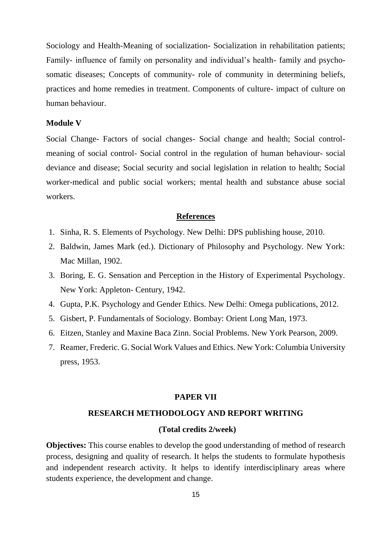Sociology and Health-Meaning of socialization- Socialization in rehabilitation patients; Family- influence of family on personality and individual's health- family and psychosomatic diseases; Concepts of community- role of community in determining beliefs, practices and home remedies in treatment. Components of culture- impact of culture on human behaviour.

## **Module V**

Social Change- Factors of social changes- Social change and health; Social controlmeaning of social control- Social control in the regulation of human behaviour- social deviance and disease; Social security and social legislation in relation to health; Social worker-medical and public social workers; mental health and substance abuse social workers.

#### **References**

- 1. Sinha, R. S. Elements of Psychology. New Delhi: DPS publishing house, 2010.
- 2. Baldwin, James Mark (ed.). Dictionary of Philosophy and Psychology. New York: Mac Millan, 1902.
- 3. Boring, E. G. Sensation and Perception in the History of Experimental Psychology. New York: Appleton- Century, 1942.
- 4. Gupta, P.K. Psychology and Gender Ethics. New Delhi: Omega publications, 2012.
- 5. Gisbert, P. Fundamentals of Sociology. Bombay: Orient Long Man, 1973.
- 6. Eitzen, Stanley and Maxine Baca Zinn. Social Problems. New York Pearson, 2009.
- 7. Reamer, Frederic. G. Social Work Values and Ethics. New York: Columbia University press, 1953.

#### **PAPER VII**

#### **RESEARCH METHODOLOGY AND REPORT WRITING**

#### **(Total credits 2/week)**

**Objectives:** This course enables to develop the good understanding of method of research process, designing and quality of research. It helps the students to formulate hypothesis and independent research activity. It helps to identify interdisciplinary areas where students experience, the development and change.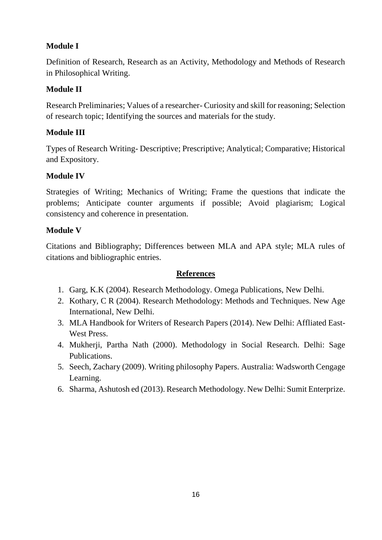# **Module I**

Definition of Research, Research as an Activity, Methodology and Methods of Research in Philosophical Writing.

# **Module II**

Research Preliminaries; Values of a researcher- Curiosity and skill for reasoning; Selection of research topic; Identifying the sources and materials for the study.

# **Module III**

Types of Research Writing- Descriptive; Prescriptive; Analytical; Comparative; Historical and Expository.

# **Module IV**

Strategies of Writing; Mechanics of Writing; Frame the questions that indicate the problems; Anticipate counter arguments if possible; Avoid plagiarism; Logical consistency and coherence in presentation.

# **Module V**

Citations and Bibliography; Differences between MLA and APA style; MLA rules of citations and bibliographic entries.

- 1. Garg, K.K (2004). Research Methodology. Omega Publications, New Delhi.
- 2. Kothary, C R (2004). Research Methodology: Methods and Techniques. New Age International, New Delhi.
- 3. MLA Handbook for Writers of Research Papers (2014). New Delhi: Affliated East-West Press.
- 4. Mukherji, Partha Nath (2000). Methodology in Social Research. Delhi: Sage Publications.
- 5. Seech, Zachary (2009). Writing philosophy Papers. Australia: Wadsworth Cengage Learning.
- 6. Sharma, Ashutosh ed (2013). Research Methodology. New Delhi: Sumit Enterprize.